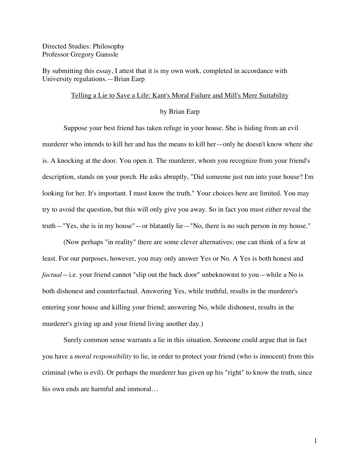Directed Studies: Philosophy Professor Gregory Ganssle

By submitting this essay, I attest that it is my own work, completed in accordance with University regulations.—Brian Earp

## Telling a Lie to Save a Life: Kant's Moral Failure and Mill's Mere Suitability

## by Brian Earp

Suppose your best friend has taken refuge in your house. She is hiding from an evil murderer who intends to kill her and has the means to kill her—only he doesn't know where she is. A knocking at the door. You open it. The murderer, whom you recognize from your friend's description, stands on your porch. He asks abruptly, "Did someone just run into your house? I'm looking for her. It's important. I must know the truth." Your choices here are limited. You may try to avoid the question, but this will only give you away. So in fact you must either reveal the truth—"Yes, she is in my house"—or blatantly lie—"No, there is no such person in my house."

(Now perhaps "in reality" there are some clever alternatives; one can think of a few at least. For our purposes, however, you may only answer Yes or No. A Yes is both honest and *factual*—i.e. your friend cannot "slip out the back door" unbeknownst to you—while a No is both dishonest and counterfactual. Answering Yes, while truthful, results in the murderer's entering your house and killing your friend; answering No, while dishonest, results in the murderer's giving up and your friend living another day.)

Surely common sense warrants a lie in this situation. Someone could argue that in fact you have a *moral responsibility* to lie, in order to protect your friend (who is innocent) from this criminal (who is evil). Or perhaps the murderer has given up his "right" to know the truth, since his own ends are harmful and immoral…

1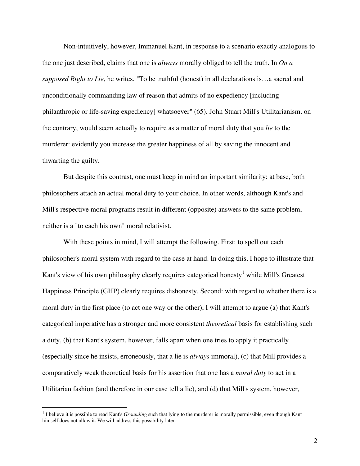Non-intuitively, however, Immanuel Kant, in response to a scenario exactly analogous to the one just described, claims that one is *always* morally obliged to tell the truth. In *On a supposed Right to Lie*, he writes, "To be truthful (honest) in all declarations is…a sacred and unconditionally commanding law of reason that admits of no expediency [including philanthropic or life-saving expediency] whatsoever" (65). John Stuart Mill's Utilitarianism, on the contrary, would seem actually to require as a matter of moral duty that you *lie* to the murderer: evidently you increase the greater happiness of all by saving the innocent and thwarting the guilty.

But despite this contrast, one must keep in mind an important similarity: at base, both philosophers attach an actual moral duty to your choice. In other words, although Kant's and Mill's respective moral programs result in different (opposite) answers to the same problem, neither is a "to each his own" moral relativist.

With these points in mind, I will attempt the following. First: to spell out each philosopher's moral system with regard to the case at hand. In doing this, I hope to illustrate that Kant's view of his own philosophy clearly requires categorical honesty<sup>1</sup> while Mill's Greatest Happiness Principle (GHP) clearly requires dishonesty. Second: with regard to whether there is a moral duty in the first place (to act one way or the other), I will attempt to argue (a) that Kant's categorical imperative has a stronger and more consistent *theoretical* basis for establishing such a duty, (b) that Kant's system, however, falls apart when one tries to apply it practically (especially since he insists, erroneously, that a lie is *always* immoral), (c) that Mill provides a comparatively weak theoretical basis for his assertion that one has a *moral duty* to act in a Utilitarian fashion (and therefore in our case tell a lie), and (d) that Mill's system, however,

<sup>&</sup>lt;sup>1</sup> I believe it is possible to read Kant's *Grounding* such that lying to the murderer is morally permissible, even though Kant himself does not allow it. We will address this possibility later.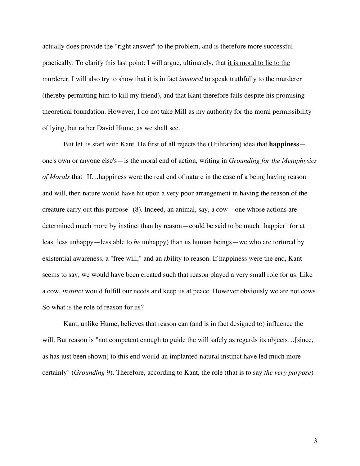actually does provide the "right answer" to the problem, and is therefore more successful practically. To clarify this last point: I will argue, ultimately, that it is moral to lie to the murderer. I will also try to show that it is in fact *immoral* to speak truthfully to the murderer (thereby permitting him to kill my friend), and that Kant therefore fails despite his promising theoretical foundation. However, I do not take Mill as my authority for the moral permissibility of lying, but rather David Hume, as we shall see.

But let us start with Kant. He first of all rejects the (Utilitarian) idea that **happiness** one's own or anyone else's—is the moral end of action, writing in *Grounding for the Metaphysics of Morals* that "If…happiness were the real end of nature in the case of a being having reason and will, then nature would have hit upon a very poor arrangement in having the reason of the creature carry out this purpose" (8). Indeed, an animal, say, a cow—one whose actions are determined much more by instinct than by reason—could be said to be much "happier" (or at least less unhappy—less able to *be* unhappy) than us human beings—we who are tortured by existential awareness, a "free will," and an ability to reason. If happiness were the end, Kant seems to say, we would have been created such that reason played a very small role for us. Like a cow, *instinct* would fulfill our needs and keep us at peace. However obviously we are not cows. So what is the role of reason for us?

Kant, unlike Hume, believes that reason can (and is in fact designed to) influence the will. But reason is "not competent enough to guide the will safely as regards its objects... [since, as has just been shown] to this end would an implanted natural instinct have led much more certainly" (*Grounding* 9). Therefore, according to Kant, the role (that is to say *the very purpose*)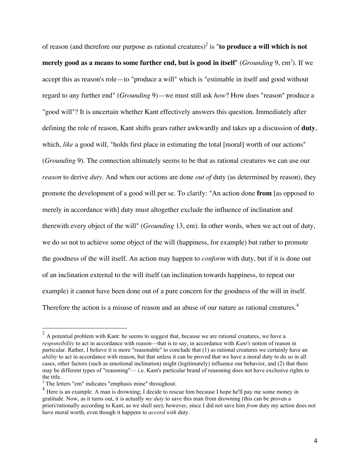of reason (and therefore our purpose as rational creatures) 2 is "**to produce a will which is not merely good as a means to some further end, but is good in itself" (***Grounding* **9, em** $^3$ **). If we** accept this as reason's role—to "produce a will" which is "estimable in itself and good without regard to any further end" (*Grounding* 9)—we must still ask *how*? How does "reason" produce a "good will"? It is uncertain whether Kant effectively answers this question. Immediately after defining the role of reason, Kant shifts gears rather awkwardly and takes up a discussion of **duty**, which, *like* a good will, "holds first place in estimating the total [moral] worth of our actions" (*Grounding* 9). The connection ultimately seems to be that as rational creatures we can use our *reason* to derive *duty*. And when our actions are done *out of* duty (as determined by reason), they promote the development of a good will per se. To clarify: "An action done **from** [as opposed to merely in accordance with] duty must altogether exclude the influence of inclination and therewith every object of the will" (*Grounding* 13, em). In other words, when we act out of duty, we do so not to achieve some object of the will (happiness, for example) but rather to promote the goodness of the will itself. An action may happen to *conform* with duty, but if it is done out of an inclination external to the will itself (an inclination towards happiness, to repeat our example) it cannot have been done out of a pure concern for the goodness of the will in itself. Therefore the action is a misuse of reason and an abuse of our nature as rational creatures.<sup>4</sup>

 $2$  A potential problem with Kant: he seems to suggest that, because we are rational creatures, we have a *responsibility* to act in accordance with reason—that is to say, in accordance with *Kant's* notion of reason in particular. Rather, I believe it is more "reasonable" to conclude that (1) as rational creatures we certainly have an *ability* to act in accordance with reason, but that unless it can be proved that we have a moral duty to do so in all cases, other factors (such as emotional inclination) might (legitimately) influence our behavior, and (2) that there may be different types of "reasoning"— i.e. Kant's particular brand of reasoning does not have exclusive rights to the title.<br><sup>3</sup> The letters "em" indicates "emphasis mine" throughout.<br><sup>4</sup> Here is an example. A man is drowning; I decide to rescue him because I hope he'll pay me some money in

gratitude. Now, as it turns out, it is actually *my duty* to save this man from drowning (this can be proven a priori/rationally according to Kant, as we shall see); however, since I did not save him *from* duty my action does not have moral worth, even though it happens to *accord with* duty.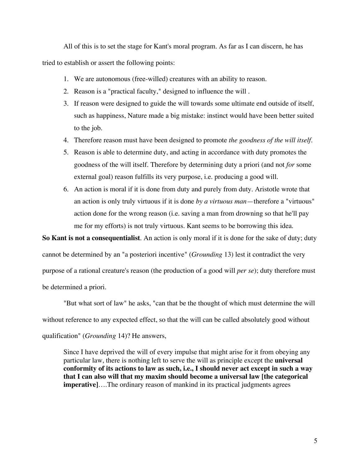All of this is to set the stage for Kant's moral program. As far as I can discern, he has tried to establish or assert the following points:

- 1. We are autonomous (free-willed) creatures with an ability to reason.
- 2. Reason is a "practical faculty," designed to influence the will .
- 3. If reason were designed to guide the will towards some ultimate end outside of itself, such as happiness, Nature made a big mistake: instinct would have been better suited to the job.
- 4. Therefore reason must have been designed to promote *the goodness of the will itself.*
- 5. Reason is able to determine duty, and acting in accordance with duty promotes the goodness of the will itself. Therefore by determining duty a priori (and not *for* some external goal) reason fulfills its very purpose, i.e. producing a good will.
- 6. An action is moral if it is done from duty and purely from duty. Aristotle wrote that an action is only truly virtuous if it is done *by a virtuous man*—therefore a "virtuous" action done for the wrong reason (i.e. saving a man from drowning so that he'll pay me for my efforts) is not truly virtuous. Kant seems to be borrowing this idea.

**So Kant is not a consequentialist**. An action is only moral if it is done for the sake of duty; duty cannot be determined by an "a posteriori incentive" (*Grounding* 13) lest it contradict the very purpose of a rational creature's reason (the production of a good will *per se*); duty therefore must be determined a priori.

"But what sort of law" he asks, "can that be the thought of which must determine the will without reference to any expected effect, so that the will can be called absolutely good without qualification" (*Grounding* 14)? He answers,

Since I have deprived the will of every impulse that might arise for it from obeying any particular law, there is nothing left to serve the will as principle except the **universal conformity of its actions to law as such, i.e., I should never act except in such a way that I can also will that my maxim should become a universal law [the categorical imperative**]….The ordinary reason of mankind in its practical judgments agrees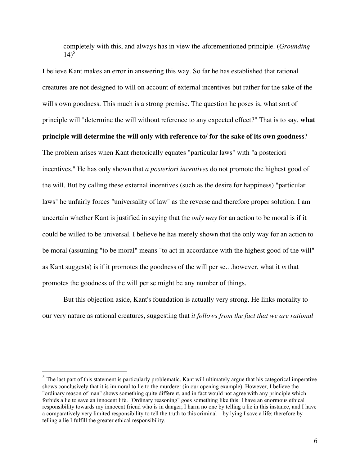completely with this, and always has in view the aforementioned principle. (*Grounding*   $14)^{5}$ 

I believe Kant makes an error in answering this way. So far he has established that rational creatures are not designed to will on account of external incentives but rather for the sake of the will's own goodness. This much is a strong premise. The question he poses is, what sort of principle will "determine the will without reference to any expected effect?" That is to say, **what principle will determine the will only with reference to/ for the sake of its own goodness**? The problem arises when Kant rhetorically equates "particular laws" with "a posteriori incentives." He has only shown that *a posteriori incentives* do not promote the highest good of the will. But by calling these external incentives (such as the desire for happiness) "particular laws" he unfairly forces "universality of law" as the reverse and therefore proper solution. I am uncertain whether Kant is justified in saying that the *only way* for an action to be moral is if it could be willed to be universal. I believe he has merely shown that the only way for an action to be moral (assuming "to be moral" means "to act in accordance with the highest good of the will" as Kant suggests) is if it promotes the goodness of the will per se…however, what it *is* that promotes the goodness of the will per se might be any number of things.

But this objection aside, Kant's foundation is actually very strong. He links morality to our very nature as rational creatures, suggesting that *it follows from the fact that we are rational*

<sup>&</sup>lt;sup>5</sup> The last part of this statement is particularly problematic. Kant will ultimately argue that his categorical imperative shows conclusively that it is immoral to lie to the murderer (in our opening example). However, I believe the "ordinary reason of man" shows something quite different, and in fact would not agree with any principle which forbids a lie to save an innocent life. "Ordinary reasoning" goes something like this: I have an enormous ethical responsibility towards my innocent friend who is in danger; I harm no one by telling a lie in this instance, and I have a comparatively very limited responsibility to tell the truth to this criminal—by lying I save a life; therefore by telling a lie I fulfill the greater ethical responsibility.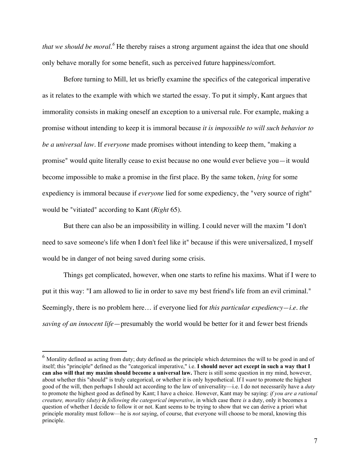that we should be moral.<sup>6</sup> He thereby raises a strong argument against the idea that one should only behave morally for some benefit, such as perceived future happiness/comfort.

Before turning to Mill, let us briefly examine the specifics of the categorical imperative as it relates to the example with which we started the essay. To put it simply, Kant argues that immorality consists in making oneself an exception to a universal rule. For example, making a promise without intending to keep it is immoral because *it is impossible to will such behavior to be a universal law*. If *everyone* made promises without intending to keep them, "making a promise" would quite literally cease to exist because no one would ever believe you—it would become impossible to make a promise in the first place. By the same token, *lying* for some expediency is immoral because if *everyone* lied for some expediency, the "very source of right" would be "vitiated" according to Kant (*Right* 65).

But there can also be an impossibility in willing. I could never will the maxim "I don't need to save someone's life when I don't feel like it" because if this were universalized, I myself would be in danger of not being saved during some crisis.

Things get complicated, however, when one starts to refine his maxims. What if I were to put it this way: "I am allowed to lie in order to save my best friend's life from an evil criminal." Seemingly, there is no problem here… if everyone lied for *this particular expediency—i.e. the saving of an innocent life*—presumably the world would be better for it and fewer best friends

 $6$  Morality defined as acting from duty; duty defined as the principle which determines the will to be good in and of itself; this "principle" defined as the "categorical imperative," i.e. **I should never act except in such a way that I can also will that my maxim should become a universal law.** There is still some question in my mind, however, about whether this "should" is truly categorical, or whether it is only hypothetical. If I *want* to promote the highest good of the will, then perhaps I should act according to the law of universality—i.e. I do not necessarily have a *duty* to promote the highest good as defined by Kant; I have a choice. However, Kant may be saying: *if you are a rational creature, morality (duty) is following the categorical imperative*, in which case there *is* a duty, only it becomes a question of whether I decide to follow it or not. Kant seems to be trying to show that we can derive a priori what principle morality must follow—he is *not* saying, of course, that everyone will choose to be moral, knowing this principle.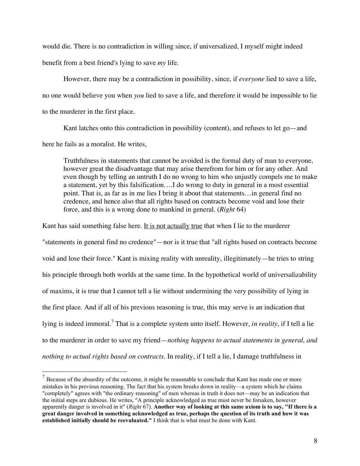would die. There is no contradiction in willing since, if universalized, I myself might indeed benefit from a best friend's lying to save *my* life.

However, there may be a contradiction in possibility, since, if *everyone* lied to save a life, no one would believe you when *you* lied to save a life, and therefore it would be impossible to lie to the murderer in the first place.

Kant latches onto this contradiction in possibility (content), and refuses to let go—and here he fails as a moralist. He writes,

Truthfulness in statements that cannot be avoided is the formal duty of man to everyone, however great the disadvantage that may arise therefrom for him or for any other. And even though by telling an untruth I do no wrong to him who unjustly compels me to make a statement, yet by this falsification….I do wrong to duty in general in a most essential point. That is, as far as in me lies I bring it about that statements…in general find no credence, and hence also that all rights based on contracts become void and lose their force, and this is a wrong done to mankind in general. (*Right* 64)

Kant has said something false here. It is not actually true that when I lie to the murderer "statements in general find no credence"—nor is it true that "all rights based on contracts become void and lose their force." Kant is mixing reality with unreality, illegitimately—he tries to string his principle through both worlds at the same time. In the hypothetical world of universalizability of maxims, it is true that I cannot tell a lie without undermining the very possibility of lying in the first place. And if all of his previous reasoning is true, this may serve is an indication that lying is indeed immoral.<sup>7</sup> That is a complete system unto itself. However, *in reality*, if I tell a lie to the murderer in order to save my friend—*nothing happens to actual statements in general, and nothing to actual rights based on contracts*. In reality, if I tell a lie, I damage truthfulness in

 $<sup>7</sup>$  Because of the absurdity of the outcome, it might be reasonable to conclude that Kant has made one or more</sup> mistakes in his previous reasoning. The fact that his system breaks down in reality—a system which he claims "completely" agrees with "the ordinary reasoning" of men whereas in truth it does not—may be an indication that the initial steps are dubious. He writes, "A principle acknowledged as true must never be forsaken, however apparently danger is involved in it" (Right 67). Another way of looking at this same axiom is to say, "If there is a great danger involved in something acknowledged as true, perhaps the question of its truth and how it was **established initially should be reevaluated."** I think that is what must be done with Kant.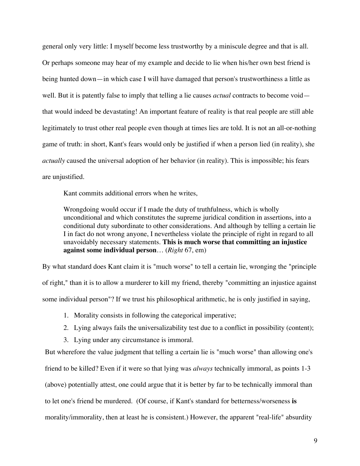general only very little: I myself become less trustworthy by a miniscule degree and that is all. Or perhaps someone may hear of my example and decide to lie when his/her own best friend is being hunted down—in which case I will have damaged that person's trustworthiness a little as well. But it is patently false to imply that telling a lie causes *actual* contracts to become void that would indeed be devastating! An important feature of reality is that real people are still able legitimately to trust other real people even though at times lies are told. It is not an all-or-nothing game of truth: in short, Kant's fears would only be justified if when a person lied (in reality), she *actually* caused the universal adoption of her behavior (in reality). This is impossible; his fears are unjustified.

Kant commits additional errors when he writes,

Wrongdoing would occur if I made the duty of truthfulness, which is wholly unconditional and which constitutes the supreme juridical condition in assertions, into a conditional duty subordinate to other considerations. And although by telling a certain lie I in fact do not wrong anyone, I nevertheless violate the principle of right in regard to all unavoidably necessary statements. **This is much worse that committing an injustice against some individual person**… (*Right* 67, em)

By what standard does Kant claim it is "much worse" to tell a certain lie, wronging the "principle of right," than it is to allow a murderer to kill my friend, thereby "committing an injustice against some individual person"? If we trust his philosophical arithmetic, he is only justified in saying,

- 1. Morality consists in following the categorical imperative;
- 2. Lying always fails the universalizability test due to a conflict in possibility (content);
- 3. Lying under any circumstance is immoral.

But wherefore the value judgment that telling a certain lie is "much worse" than allowing one's friend to be killed? Even if it were so that lying was *always* technically immoral, as points 1-3 (above) potentially attest, one could argue that it is better by far to be technically immoral than to let one's friend be murdered. (Of course, if Kant's standard for betterness/worseness **is** morality/immorality, then at least he is consistent.) However, the apparent "real-life" absurdity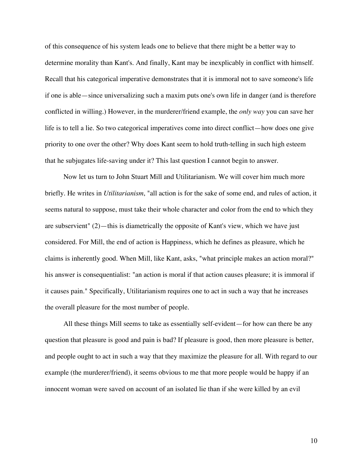of this consequence of his system leads one to believe that there might be a better way to determine morality than Kant's. And finally, Kant may be inexplicably in conflict with himself. Recall that his categorical imperative demonstrates that it is immoral not to save someone's life if one is able—since universalizing such a maxim puts one's own life in danger (and is therefore conflicted in willing.) However, in the murderer/friend example, the *only way* you can save her life is to tell a lie. So two categorical imperatives come into direct conflict—how does one give priority to one over the other? Why does Kant seem to hold truth-telling in such high esteem that he subjugates life-saving under it? This last question I cannot begin to answer.

Now let us turn to John Stuart Mill and Utilitarianism. We will cover him much more briefly. He writes in *Utilitarianism*, "all action is for the sake of some end, and rules of action, it seems natural to suppose, must take their whole character and color from the end to which they are subservient" (2)—this is diametrically the opposite of Kant's view, which we have just considered. For Mill, the end of action is Happiness, which he defines as pleasure, which he claims is inherently good. When Mill, like Kant, asks, "what principle makes an action moral?" his answer is consequentialist: "an action is moral if that action causes pleasure; it is immoral if it causes pain." Specifically, Utilitarianism requires one to act in such a way that he increases the overall pleasure for the most number of people.

All these things Mill seems to take as essentially self-evident—for how can there be any question that pleasure is good and pain is bad? If pleasure is good, then more pleasure is better, and people ought to act in such a way that they maximize the pleasure for all. With regard to our example (the murderer/friend), it seems obvious to me that more people would be happy if an innocent woman were saved on account of an isolated lie than if she were killed by an evil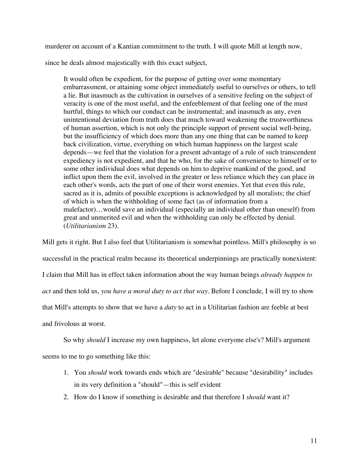murderer on account of a Kantian commitment to the truth. I will quote Mill at length now,

since he deals almost majestically with this exact subject,

It would often be expedient, for the purpose of getting over some momentary embarrassment, or attaining some object immediately useful to ourselves or others, to tell a lie. But inasmuch as the cultivation in ourselves of a sensitive feeling on the subject of veracity is one of the most useful, and the enfeeblement of that feeling one of the must hurtful, things to which our conduct can be instrumental; and inasmuch as any, even unintentional deviation from truth does that much toward weakening the trustworthiness of human assertion, which is not only the principle support of present social well-being, but the insufficiency of which does more than any one thing that can be named to keep back civilization, virtue, everything on which human happiness on the largest scale depends—we feel that the violation for a present advantage of a rule of such transcendent expediency is not expedient, and that he who, for the sake of convenience to himself or to some other individual does what depends on him to deprive mankind of the good, and inflict upon them the evil, involved in the greater or less reliance which they can place in each other's words, acts the part of one of their worst enemies. Yet that even this rule, sacred as it is, admits of possible exceptions is acknowledged by all moralists; the chief of which is when the withholding of some fact (as of information from a malefactor)…would save an individual (especially an individual other than oneself) from great and unmerited evil and when the withholding can only be effected by denial. (*Utilitarianism* 23).

Mill gets it right. But I also feel that Utilitarianism is somewhat pointless. Mill's philosophy is so successful in the practical realm because its theoretical underpinnings are practically nonexistent: I claim that Mill has in effect taken information about the way human beings *already happen to act* and then told us, *you have a moral duty to act that way*. Before I conclude, I will try to show that Mill's attempts to show that we have a *duty* to act in a Utilitarian fashion are feeble at best and frivolous at worst.

So why *should* I increase my own happiness, let alone everyone else's? Mill's argument seems to me to go something like this:

- 1. You *should* work towards ends which are "desirable" because "desirability" includes in its very definition a "should"—this is self evident
- 2. How do I know if something is desirable and that therefore I *should* want it?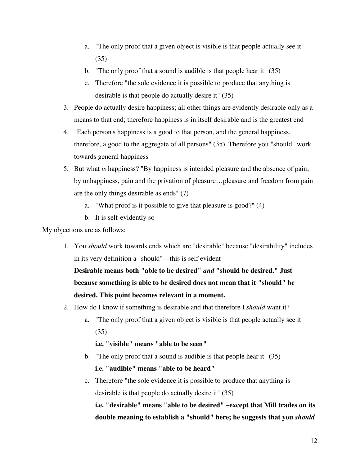- a. "The only proof that a given object is visible is that people actually see it" (35)
- b. "The only proof that a sound is audible is that people hear it" (35)
- c. Therefore "the sole evidence it is possible to produce that anything is desirable is that people do actually desire it" (35)
- 3. People do actually desire happiness; all other things are evidently desirable only as a means to that end; therefore happiness is in itself desirable and is the greatest end
- 4. "Each person's happiness is a good to that person, and the general happiness, therefore, a good to the aggregate of all persons" (35). Therefore you "should" work towards general happiness
- 5. But what *is* happiness? "By happiness is intended pleasure and the absence of pain; by unhappiness, pain and the privation of pleasure…pleasure and freedom from pain are the only things desirable as ends" (7)
	- a. "What proof is it possible to give that pleasure is good?" (4)
	- b. It is self-evidently so

My objections are as follows:

1. You *should* work towards ends which are "desirable" because "desirability" includes in its very definition a "should"—this is self evident

**Desirable means both "able to be desired"** *and* **"should be desired." Just because something is able to be desired does not mean that it "should" be desired. This point becomes relevant in a moment.**

- 2. How do I know if something is desirable and that therefore I *should* want it?
	- a. "The only proof that a given object is visible is that people actually see it" (35)

**i.e. "visible" means "able to be seen"**

b. "The only proof that a sound is audible is that people hear it" (35)

**i.e. "audible" means "able to be heard"**

c. Therefore "the sole evidence it is possible to produce that anything is desirable is that people do actually desire it" (35)

**i.e. "desirable" means "able to be desired" –except that Mill trades on its double meaning to establish a "should" here; he suggests that you** *should*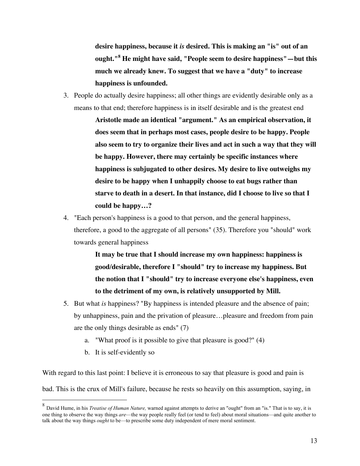**desire happiness, because it** *is* **desired. This is making an "is" out of an ought."<sup>8</sup> He might have said, "People seem to desire happiness"—but this much we already knew. To suggest that we have a "duty" to increase happiness is unfounded.**

3. People do actually desire happiness; all other things are evidently desirable only as a means to that end; therefore happiness is in itself desirable and is the greatest end

> **Aristotle made an identical "argument." As an empirical observation, it does seem that in perhaps most cases, people desire to be happy. People also seem to try to organize their lives and act in such a way that they will be happy. However, there may certainly be specific instances where happiness is subjugated to other desires. My desire to live outweighs my desire to be happy when I unhappily choose to eat bugs rather than starve to death in a desert. In that instance, did I choose to live so that I could be happy…?**

4. "Each person's happiness is a good to that person, and the general happiness, therefore, a good to the aggregate of all persons" (35). Therefore you "should" work towards general happiness

> **It may be true that I should increase my own happiness: happiness is good/desirable, therefore I "should" try to increase my happiness. But the notion that I "should" try to increase everyone else's happiness, even to the detriment of my own, is relatively unsupported by Mill.**

- 5. But what *is* happiness? "By happiness is intended pleasure and the absence of pain; by unhappiness, pain and the privation of pleasure…pleasure and freedom from pain are the only things desirable as ends" (7)
	- a. "What proof is it possible to give that pleasure is good?" (4)
	- b. It is self-evidently so

With regard to this last point: I believe it is erroneous to say that pleasure is good and pain is bad. This is the crux of Mill's failure, because he rests so heavily on this assumption, saying, in

 <sup>8</sup> David Hume, in his *Treatise of Human Nature,* warned against attempts to derive an "ought" from an "is." That is to say, it is one thing to observe the way things *are*—the way people really feel (or tend to feel) about moral situations—and quite another to talk about the way things *ought* to be—to prescribe some duty independent of mere moral sentiment.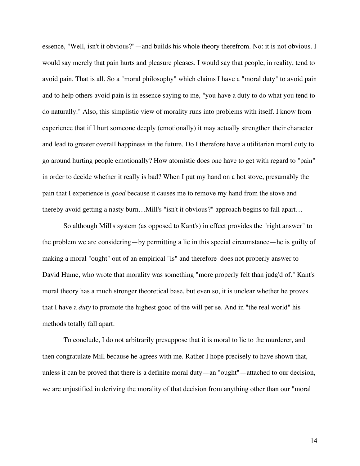essence, "Well, isn't it obvious?"—and builds his whole theory therefrom. No: it is not obvious. I would say merely that pain hurts and pleasure pleases. I would say that people, in reality, tend to avoid pain. That is all. So a "moral philosophy" which claims I have a "moral duty" to avoid pain and to help others avoid pain is in essence saying to me, "you have a duty to do what you tend to do naturally." Also, this simplistic view of morality runs into problems with itself. I know from experience that if I hurt someone deeply (emotionally) it may actually strengthen their character and lead to greater overall happiness in the future. Do I therefore have a utilitarian moral duty to go around hurting people emotionally? How atomistic does one have to get with regard to "pain" in order to decide whether it really is bad? When I put my hand on a hot stove, presumably the pain that I experience is *good* because it causes me to remove my hand from the stove and thereby avoid getting a nasty burn…Mill's "isn't it obvious?" approach begins to fall apart…

So although Mill's system (as opposed to Kant's) in effect provides the "right answer" to the problem we are considering—by permitting a lie in this special circumstance—he is guilty of making a moral "ought" out of an empirical "is" and therefore does not properly answer to David Hume, who wrote that morality was something "more properly felt than judg'd of." Kant's moral theory has a much stronger theoretical base, but even so, it is unclear whether he proves that I have a *duty* to promote the highest good of the will per se. And in "the real world" his methods totally fall apart.

To conclude, I do not arbitrarily presuppose that it is moral to lie to the murderer, and then congratulate Mill because he agrees with me. Rather I hope precisely to have shown that, unless it can be proved that there is a definite moral duty—an "ought"—attached to our decision, we are unjustified in deriving the morality of that decision from anything other than our "moral

14